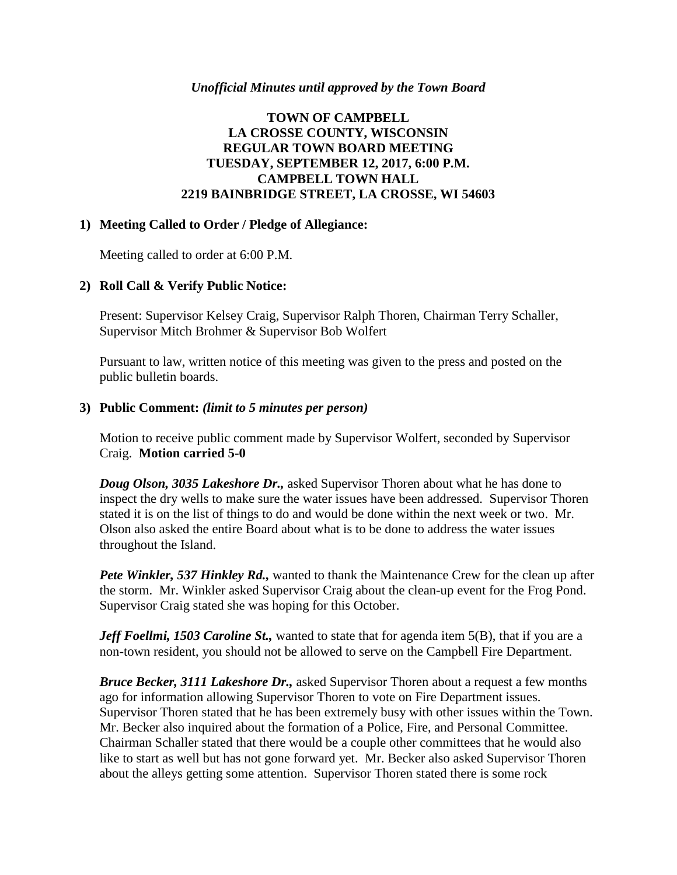### *Unofficial Minutes until approved by the Town Board*

# **TOWN OF CAMPBELL LA CROSSE COUNTY, WISCONSIN REGULAR TOWN BOARD MEETING TUESDAY, SEPTEMBER 12, 2017, 6:00 P.M. CAMPBELL TOWN HALL 2219 BAINBRIDGE STREET, LA CROSSE, WI 54603**

### **1) Meeting Called to Order / Pledge of Allegiance:**

Meeting called to order at 6:00 P.M.

# **2) Roll Call & Verify Public Notice:**

Present: Supervisor Kelsey Craig, Supervisor Ralph Thoren, Chairman Terry Schaller, Supervisor Mitch Brohmer & Supervisor Bob Wolfert

Pursuant to law, written notice of this meeting was given to the press and posted on the public bulletin boards.

### **3) Public Comment:** *(limit to 5 minutes per person)*

Motion to receive public comment made by Supervisor Wolfert, seconded by Supervisor Craig. **Motion carried 5-0**

*Doug Olson, 3035 Lakeshore Dr.,* asked Supervisor Thoren about what he has done to inspect the dry wells to make sure the water issues have been addressed. Supervisor Thoren stated it is on the list of things to do and would be done within the next week or two. Mr. Olson also asked the entire Board about what is to be done to address the water issues throughout the Island.

*Pete Winkler, 537 Hinkley Rd.,* wanted to thank the Maintenance Crew for the clean up after the storm. Mr. Winkler asked Supervisor Craig about the clean-up event for the Frog Pond. Supervisor Craig stated she was hoping for this October.

*Jeff Foellmi, 1503 Caroline St.,* wanted to state that for agenda item 5(B), that if you are a non-town resident, you should not be allowed to serve on the Campbell Fire Department.

*Bruce Becker, 3111 Lakeshore Dr.,* asked Supervisor Thoren about a request a few months ago for information allowing Supervisor Thoren to vote on Fire Department issues. Supervisor Thoren stated that he has been extremely busy with other issues within the Town. Mr. Becker also inquired about the formation of a Police, Fire, and Personal Committee. Chairman Schaller stated that there would be a couple other committees that he would also like to start as well but has not gone forward yet. Mr. Becker also asked Supervisor Thoren about the alleys getting some attention. Supervisor Thoren stated there is some rock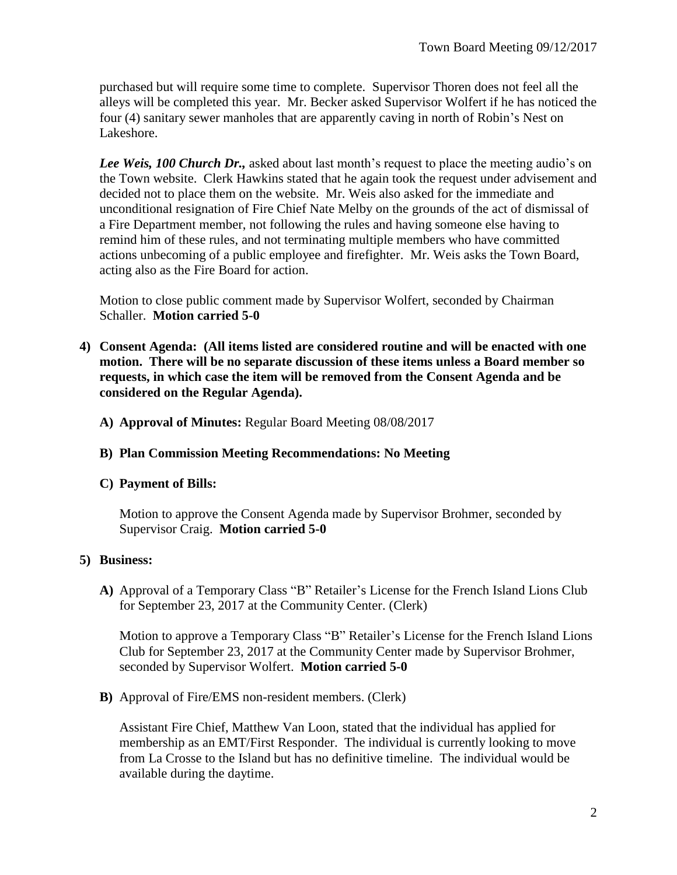purchased but will require some time to complete. Supervisor Thoren does not feel all the alleys will be completed this year. Mr. Becker asked Supervisor Wolfert if he has noticed the four (4) sanitary sewer manholes that are apparently caving in north of Robin's Nest on Lakeshore.

*Lee Weis, 100 Church Dr.,* asked about last month's request to place the meeting audio's on the Town website. Clerk Hawkins stated that he again took the request under advisement and decided not to place them on the website. Mr. Weis also asked for the immediate and unconditional resignation of Fire Chief Nate Melby on the grounds of the act of dismissal of a Fire Department member, not following the rules and having someone else having to remind him of these rules, and not terminating multiple members who have committed actions unbecoming of a public employee and firefighter. Mr. Weis asks the Town Board, acting also as the Fire Board for action.

Motion to close public comment made by Supervisor Wolfert, seconded by Chairman Schaller. **Motion carried 5-0**

- **4) Consent Agenda: (All items listed are considered routine and will be enacted with one motion. There will be no separate discussion of these items unless a Board member so requests, in which case the item will be removed from the Consent Agenda and be considered on the Regular Agenda).**
	- **A) Approval of Minutes:** Regular Board Meeting 08/08/2017

### **B) Plan Commission Meeting Recommendations: No Meeting**

### **C) Payment of Bills:**

Motion to approve the Consent Agenda made by Supervisor Brohmer, seconded by Supervisor Craig. **Motion carried 5-0**

# **5) Business:**

**A)** Approval of a Temporary Class "B" Retailer's License for the French Island Lions Club for September 23, 2017 at the Community Center. (Clerk)

Motion to approve a Temporary Class "B" Retailer's License for the French Island Lions Club for September 23, 2017 at the Community Center made by Supervisor Brohmer, seconded by Supervisor Wolfert. **Motion carried 5-0**

**B)** Approval of Fire/EMS non-resident members. (Clerk)

Assistant Fire Chief, Matthew Van Loon, stated that the individual has applied for membership as an EMT/First Responder. The individual is currently looking to move from La Crosse to the Island but has no definitive timeline. The individual would be available during the daytime.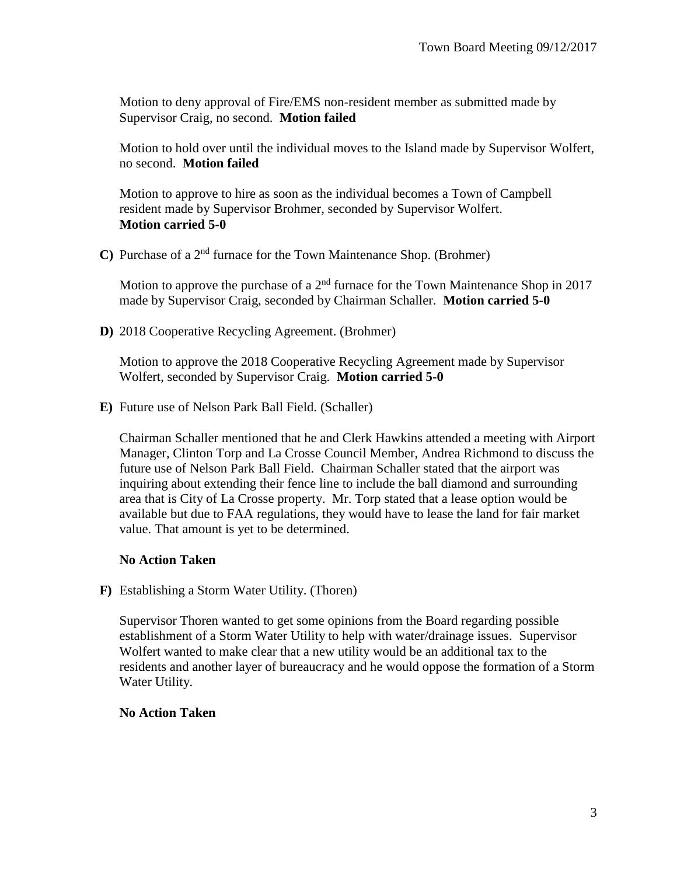Motion to deny approval of Fire/EMS non-resident member as submitted made by Supervisor Craig, no second. **Motion failed**

Motion to hold over until the individual moves to the Island made by Supervisor Wolfert, no second. **Motion failed**

Motion to approve to hire as soon as the individual becomes a Town of Campbell resident made by Supervisor Brohmer, seconded by Supervisor Wolfert. **Motion carried 5-0**

**C)** Purchase of a 2nd furnace for the Town Maintenance Shop. (Brohmer)

Motion to approve the purchase of a  $2<sup>nd</sup>$  furnace for the Town Maintenance Shop in 2017 made by Supervisor Craig, seconded by Chairman Schaller. **Motion carried 5-0**

**D)** 2018 Cooperative Recycling Agreement. (Brohmer)

Motion to approve the 2018 Cooperative Recycling Agreement made by Supervisor Wolfert, seconded by Supervisor Craig. **Motion carried 5-0**

**E)** Future use of Nelson Park Ball Field. (Schaller)

Chairman Schaller mentioned that he and Clerk Hawkins attended a meeting with Airport Manager, Clinton Torp and La Crosse Council Member, Andrea Richmond to discuss the future use of Nelson Park Ball Field. Chairman Schaller stated that the airport was inquiring about extending their fence line to include the ball diamond and surrounding area that is City of La Crosse property. Mr. Torp stated that a lease option would be available but due to FAA regulations, they would have to lease the land for fair market value. That amount is yet to be determined.

# **No Action Taken**

**F)** Establishing a Storm Water Utility. (Thoren)

Supervisor Thoren wanted to get some opinions from the Board regarding possible establishment of a Storm Water Utility to help with water/drainage issues. Supervisor Wolfert wanted to make clear that a new utility would be an additional tax to the residents and another layer of bureaucracy and he would oppose the formation of a Storm Water Utility.

### **No Action Taken**